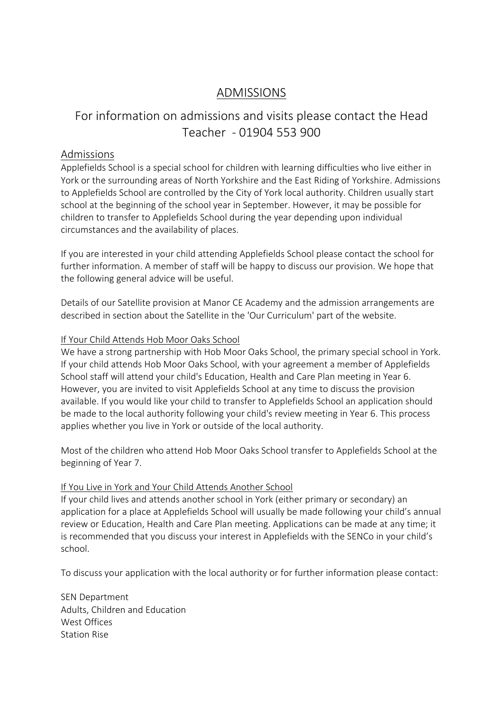## ADMISSIONS

# For information on admissions and visits please contact the Head Teacher - 01904 553 900

### Admissions

Applefields School is a special school for children with learning difficulties who live either in York or the surrounding areas of North Yorkshire and the East Riding of Yorkshire. Admissions to Applefields School are controlled by the City of York local authority. Children usually start school at the beginning of the school year in September. However, it may be possible for children to transfer to Applefields School during the year depending upon individual circumstances and the availability of places.

If you are interested in your child attending Applefields School please contact the school for further information. A member of staff will be happy to discuss our provision. We hope that the following general advice will be useful.

Details of our Satellite provision at Manor CE Academy and the admission arrangements are described in section about the Satellite in the 'Our Curriculum' part of the website.

#### If Your Child Attends Hob Moor Oaks School

We have a strong partnership with Hob Moor Oaks School, the primary special school in York. If your child attends Hob Moor Oaks School, with your agreement a member of Applefields School staff will attend your child's Education, Health and Care Plan meeting in Year 6. However, you are invited to visit Applefields School at any time to discuss the provision available. If you would like your child to transfer to Applefields School an application should be made to the local authority following your child's review meeting in Year 6. This process applies whether you live in York or outside of the local authority.

Most of the children who attend Hob Moor Oaks School transfer to Applefields School at the beginning of Year 7.

#### If You Live in York and Your Child Attends Another School

If your child lives and attends another school in York (either primary or secondary) an application for a place at Applefields School will usually be made following your child's annual review or Education, Health and Care Plan meeting. Applications can be made at any time; it is recommended that you discuss your interest in Applefields with the SENCo in your child's school.

To discuss your application with the local authority or for further information please contact:

SEN Department Adults, Children and Education West Offices Station Rise